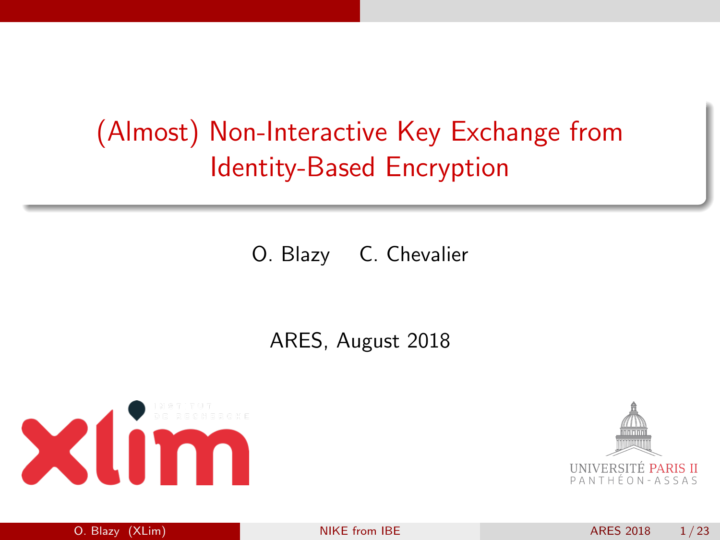# <span id="page-0-0"></span>(Almost) Non-Interactive Key Exchange from Identity-Based Encryption

O. Blazy C. Chevalier

### ARES, August 2018



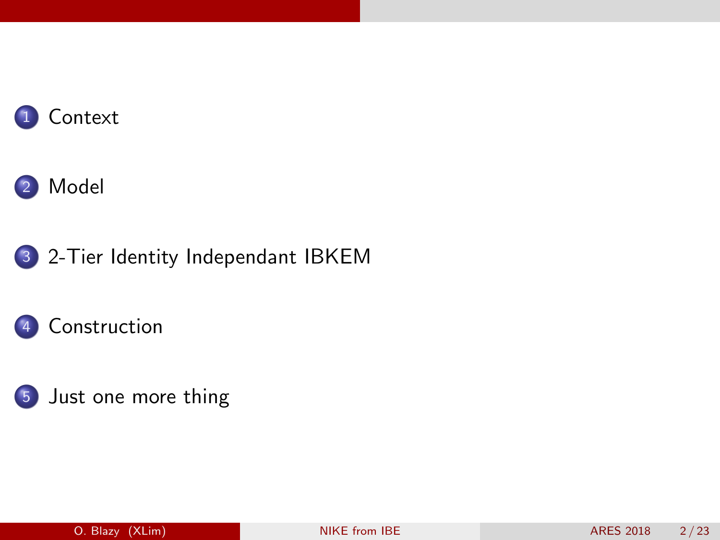







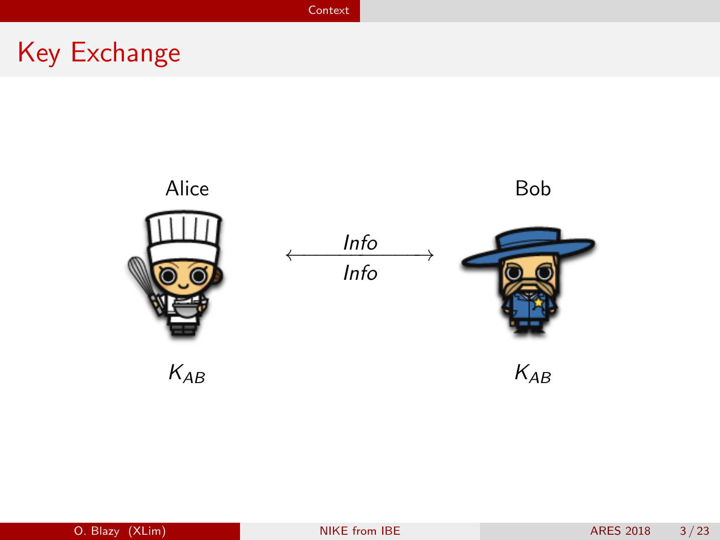[Context](#page-2-0)

# <span id="page-2-0"></span>Key Exchange

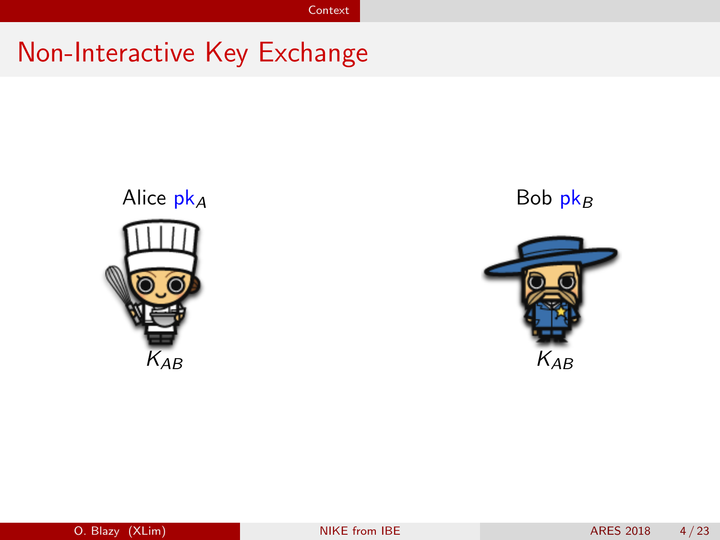# Non-Interactive Key Exchange



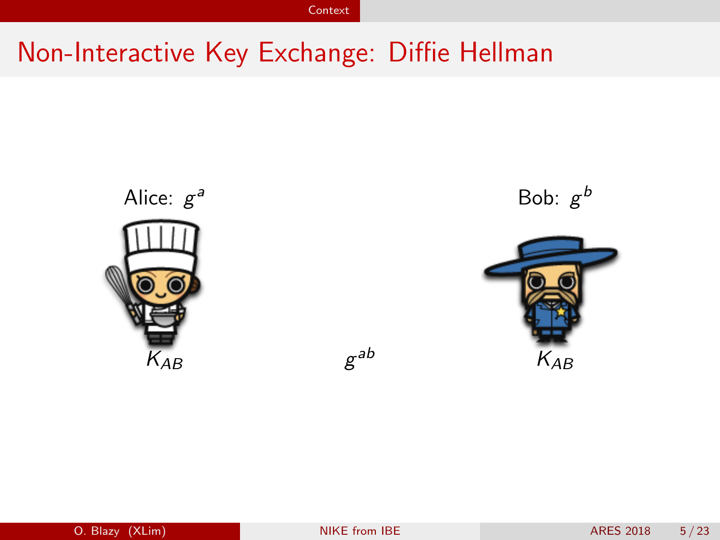**[Context](#page-2-0)** 

# Non-Interactive Key Exchange: Diffie Hellman



a Bob:  $g^b$ 

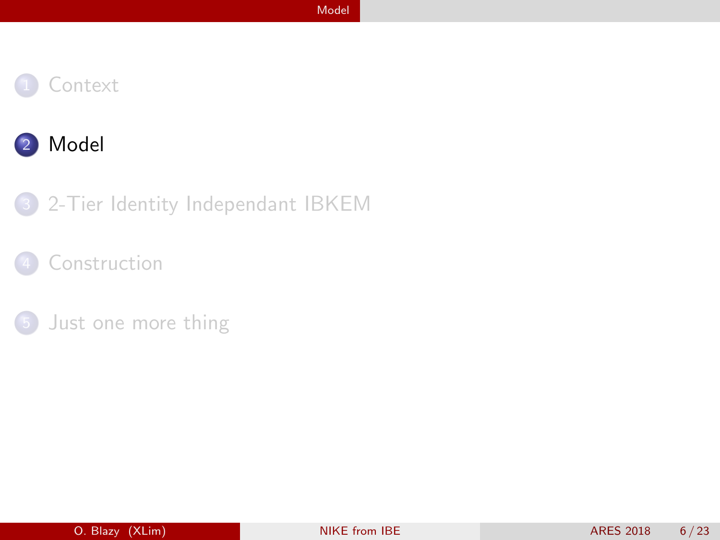<span id="page-5-0"></span>



#### 3 [2-Tier Identity Independant IBKEM](#page-15-0)

### [Construction](#page-27-0)

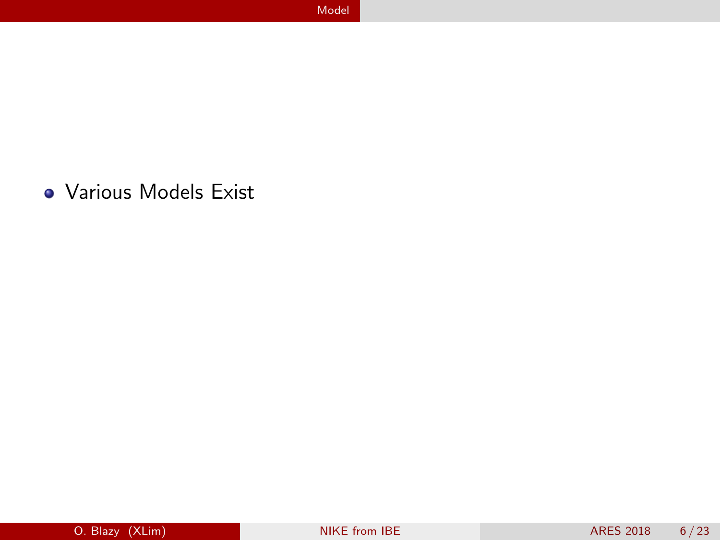Various Models Exist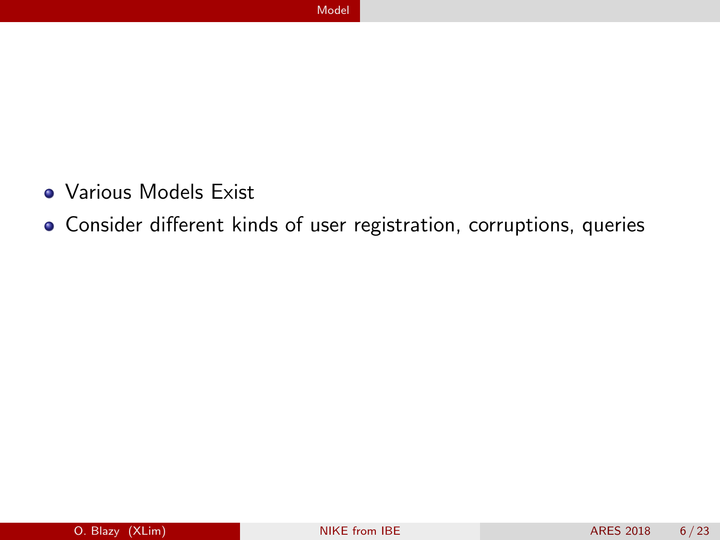- Various Models Exist
- Consider different kinds of user registration, corruptions, queries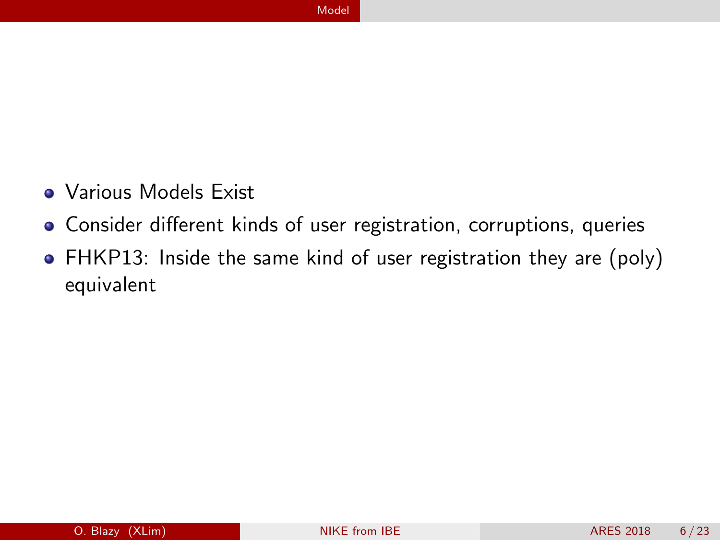- **Various Models Exist**
- Consider different kinds of user registration, corruptions, queries
- FHKP13: Inside the same kind of user registration they are (poly) equivalent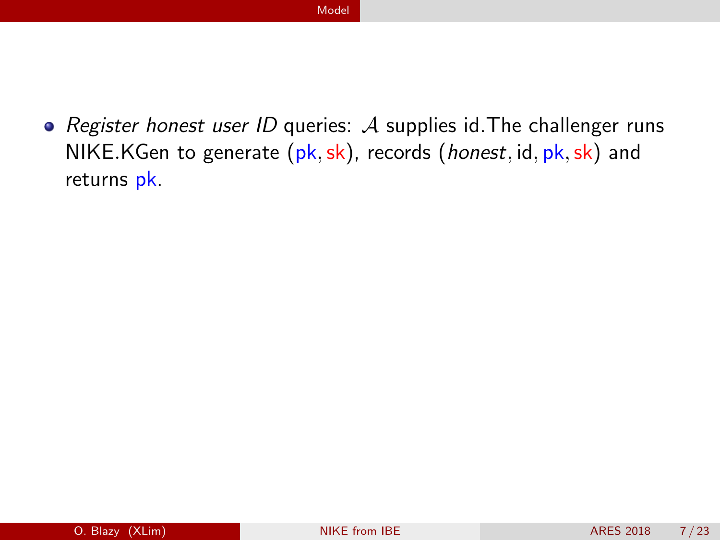• Register honest user ID queries:  $A$  supplies id. The challenger runs NIKE.KGen to generate  $(pk, sk)$ , records  $(honest, id, pk, sk)$  and returns pk.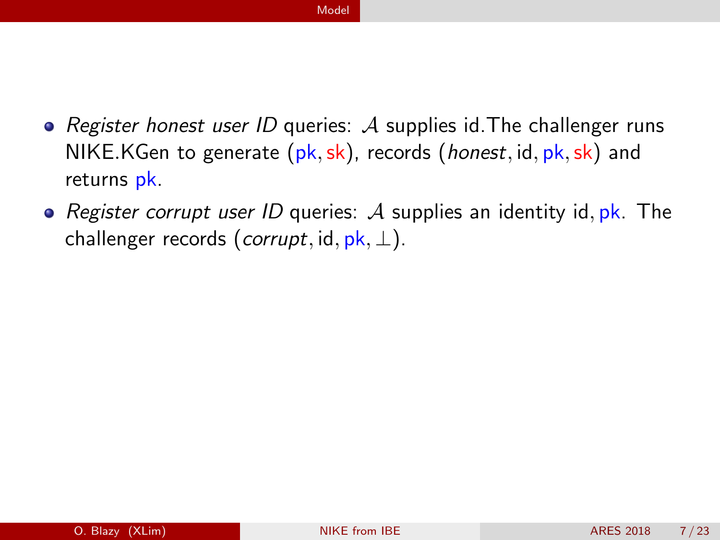- Register honest user ID queries:  $\mathcal A$  supplies id. The challenger runs NIKE.KGen to generate  $(\mathsf{pk}, \mathsf{sk})$ , records (*honest*, id,  $\mathsf{pk}, \mathsf{sk}$ ) and returns pk.
- Register corrupt user ID queries:  $A$  supplies an identity id, pk. The challenger records (*corrupt*, id,  $pk$ ,  $\perp$ ).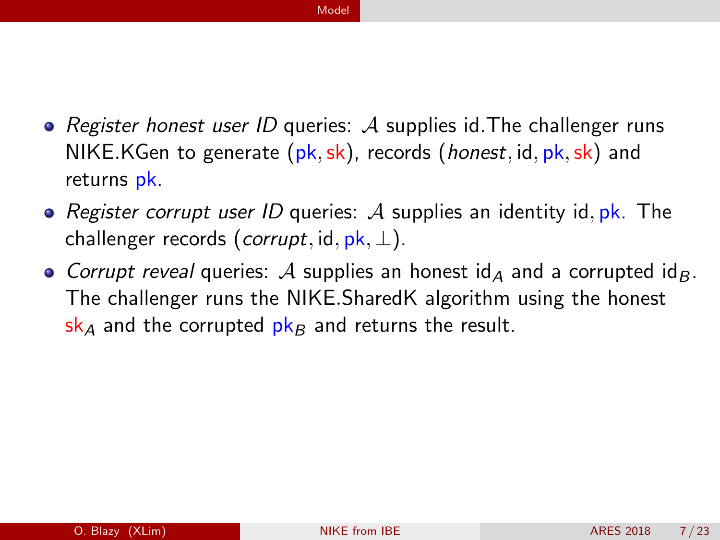- Register honest user ID queries: A supplies id. The challenger runs NIKE.KGen to generate  $(\mathbf{pk}, \mathbf{sk})$ , records (*honest*, id,  $\mathbf{pk}, \mathbf{sk}$ ) and returns pk.
- Register corrupt user ID queries: A supplies an identity id,  $pk$ . The challenger records (corrupt, id,  $pk$ ,  $\perp$ ).
- Corrupt reveal queries: A supplies an honest  $\mathsf{Id}_A$  and a corrupted  $\mathsf{Id}_B$ . The challenger runs the NIKE.SharedK algorithm using the honest  $s_{A}$  and the corrupted  $p_{A}$  and returns the result.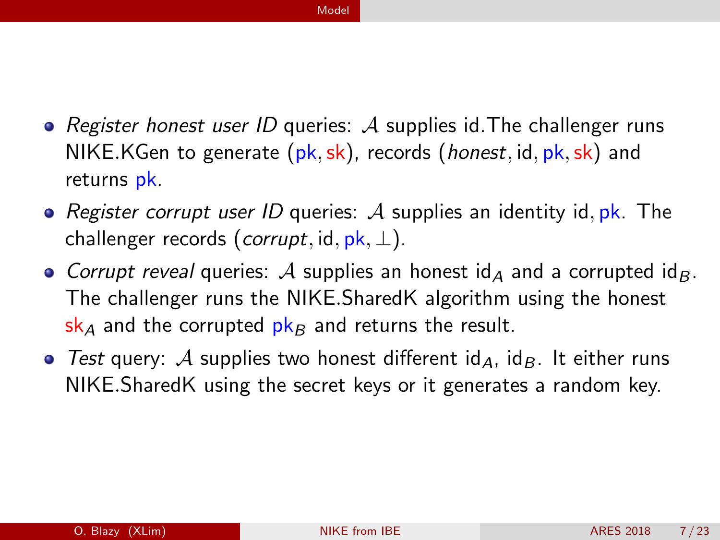- Register honest user ID queries: A supplies id. The challenger runs NIKE.KGen to generate  $(\mathbf{pk}, \mathbf{sk})$ , records (*honest*, id,  $\mathbf{pk}, \mathbf{sk}$ ) and returns pk.
- Register corrupt user ID queries: A supplies an identity id,  $pk$ . The challenger records (corrupt, id,  $pk$ ,  $\perp$ ).
- Corrupt reveal queries: A supplies an honest  $\mathsf{Id}_A$  and a corrupted  $\mathsf{Id}_B$ . The challenger runs the NIKE.SharedK algorithm using the honest  $s_{A}$  and the corrupted  $p_{A}$  and returns the result.
- Test query: A supplies two honest different  $\mathsf{id}_A$ ,  $\mathsf{id}_B$ . It either runs NIKE.SharedK using the secret keys or it generates a random key.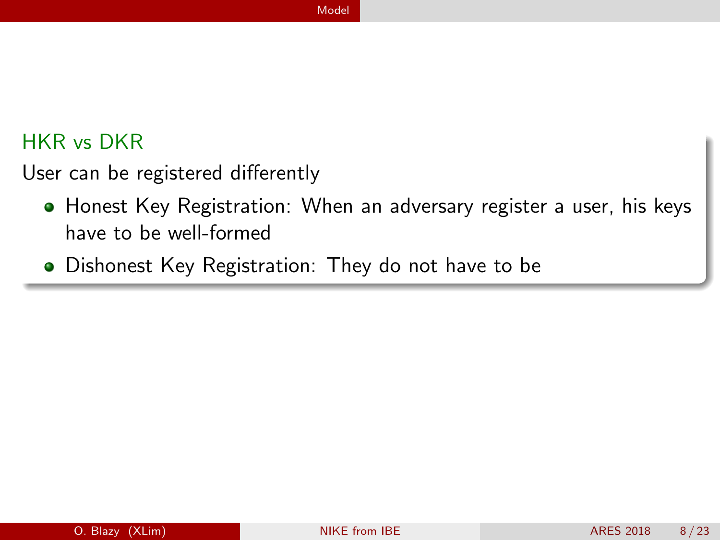### HKR vs DKR

User can be registered differently

- Honest Key Registration: When an adversary register a user, his keys have to be well-formed
- **•** Dishonest Key Registration: They do not have to be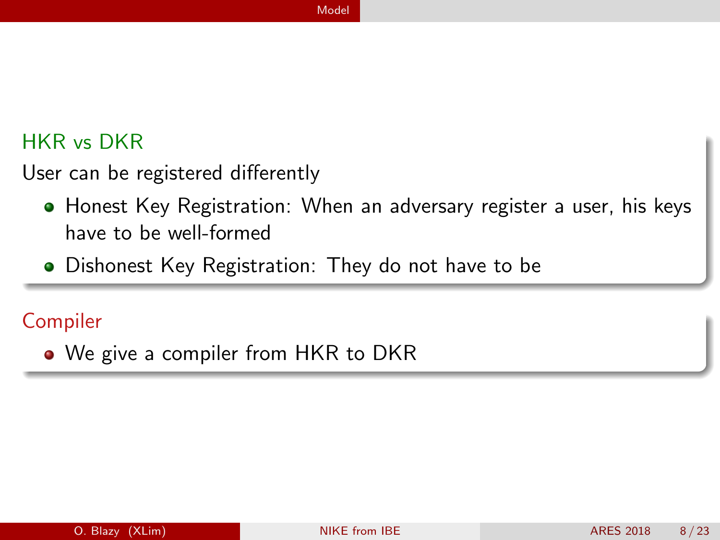### HKR vs DKR

User can be registered differently

- Honest Key Registration: When an adversary register a user, his keys have to be well-formed
- **•** Dishonest Key Registration: They do not have to be

### Compiler

• We give a compiler from HKR to DKR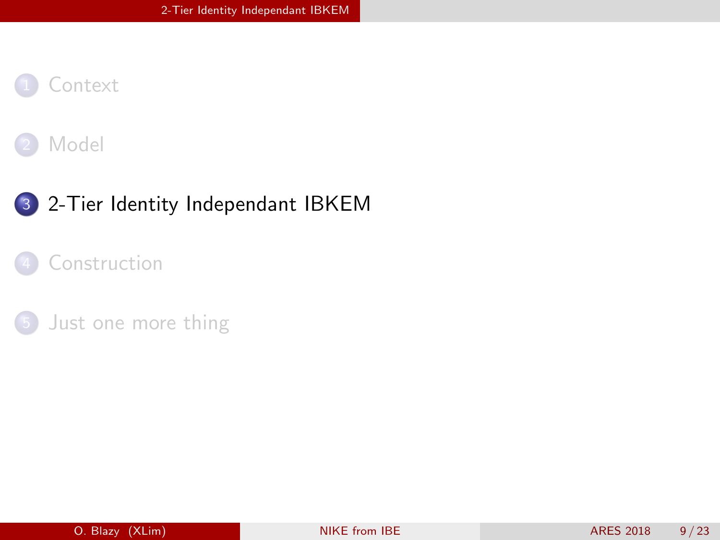<span id="page-15-0"></span>



### 3 [2-Tier Identity Independant IBKEM](#page-15-0)

#### [Construction](#page-27-0)

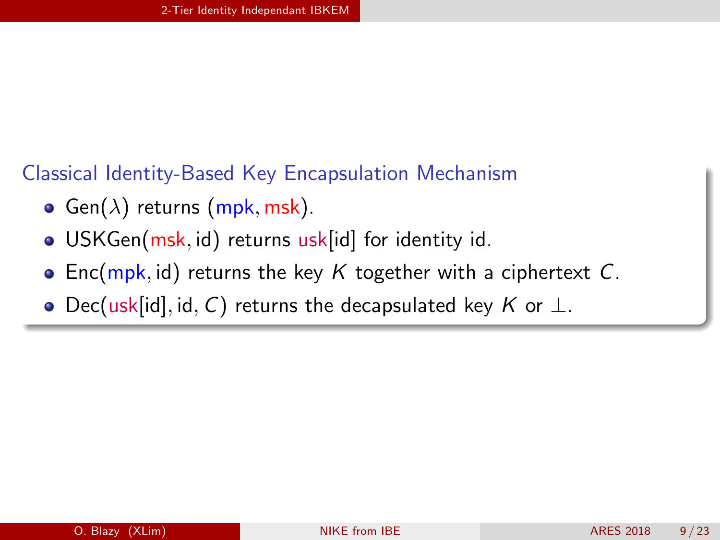### Classical Identity-Based Key Encapsulation Mechanism

- **Gen**( $\lambda$ ) returns (mpk, msk).
- · USKGen(msk, id) returns usk[id] for identity id.
- Enc(mpk, id) returns the key  $K$  together with a ciphertext C.
- Dec(usk[id], id, C) returns the decapsulated key K or  $\perp$ .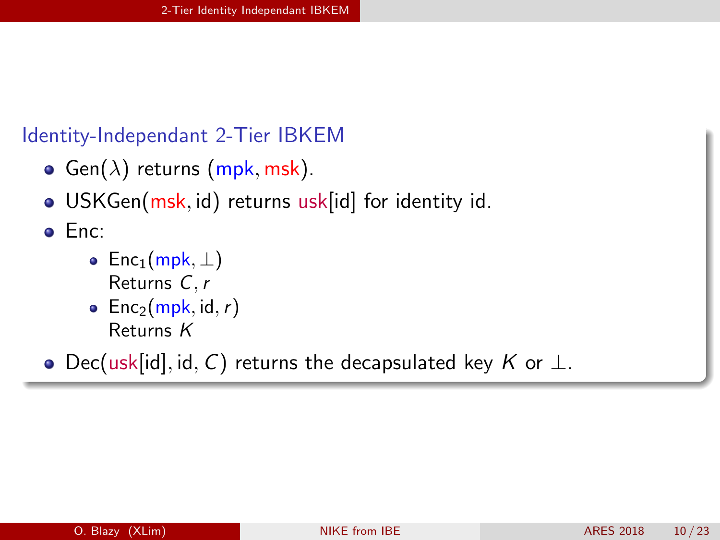#### Identity-Independant 2-Tier IBKEM

- **•** Gen( $\lambda$ ) returns (mpk, msk).
- USKGen(msk, id) returns usk[id] for identity id.

Enc:

- Enc<sub>1</sub>(mpk,  $\perp$ ) Returns C,r
- Enc<sub>2</sub>(mpk, id, r) Returns K
- Dec(usk[id], id, C) returns the decapsulated key K or  $\perp$ .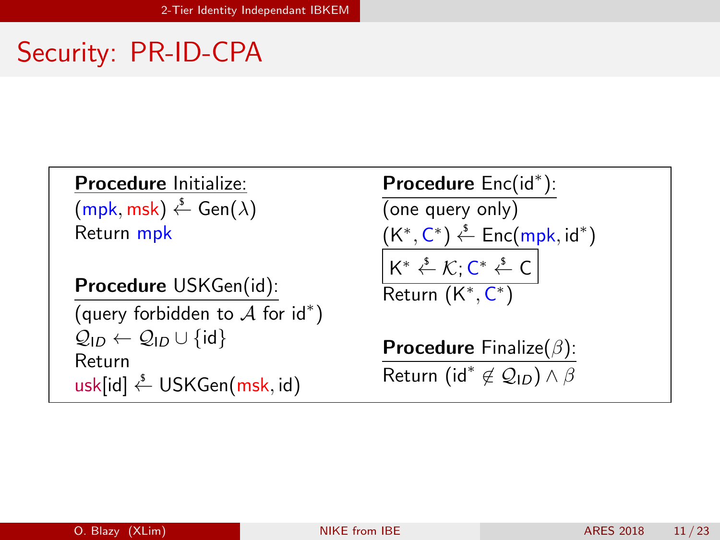# Security: PR-ID-CPA

Procedure Initialize:  $(\mathsf{mpk}, \mathsf{msk}) \overset{\mathsf{s}}{\leftarrow} \mathsf{Gen}(\lambda)$ Return mpk

Procedure USKGen(id): (query forbidden to  $A$  for  $id^*$ )

 $\mathcal{Q}_{ID} \leftarrow \mathcal{Q}_{ID} \cup \{\mathsf{id}\}$ Return  $usk(id] \overset{\$}{\leftarrow} USKGen(msk, id)$ 

Procedure Enc(id<sup>\*</sup>): (one query only)  $(K^*, C^*) \overset{\mathsf{s}}{\leftarrow} \mathsf{Enc}(\mathsf{mpk}, \mathsf{id}^*)$  $\mathsf{K}^* \overset{\mathsf{s}}{\leftarrow} \mathcal{K}; \mathsf{C}^* \overset{\mathsf{s}}{\leftarrow} \mathsf{C}$ Return (K<sup>\*</sup>, C<sup>\*</sup>)

**Procedure** Finalize( $\beta$ ): Return (id<sup>\*</sup>  $\notin \mathcal{Q}_{\mathsf{ID}}$ ) ∧  $\beta$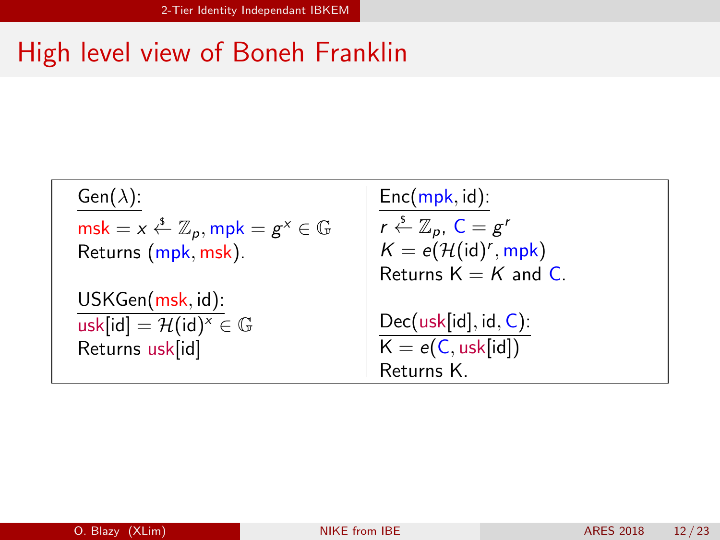# High level view of Boneh Franklin

| $Gen(\lambda)$ :                                                          | $Enc(mpk, id)$ :                                       |
|---------------------------------------------------------------------------|--------------------------------------------------------|
| $msk = x \stackrel{s}{\leftarrow} \mathbb{Z}_p, mpk = g^x \in \mathbb{G}$ | $r \stackrel{\$}{\leftarrow} \mathbb{Z}_p$ , $C = g^r$ |
| Returns (mpk, msk).                                                       | $K = e(\mathcal{H}(\text{id})^r, \text{mpk})$          |
|                                                                           | Returns $K = K$ and C.                                 |
| USKGen(msk, id):                                                          |                                                        |
| usk[id] = $\mathcal{H}(\text{id})^x \in \mathbb{G}$                       | $Dec(usk[id], id, C)$ :                                |
| Returns usk[id]                                                           | $K = e(C, usk-id])$<br>Returns K.                      |
|                                                                           |                                                        |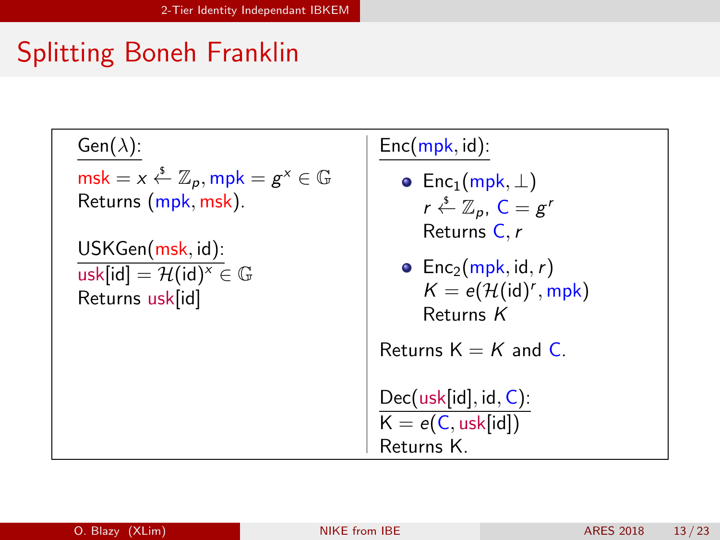# Splitting Boneh Franklin

 $Gen(\lambda)$ :  $\text{msk} = x \overset{\hspace{0.1em}\mathsf{\scriptscriptstyle\$}}{\leftarrow} \mathbb{Z}_p, \text{mpk} = g^x \in \mathbb{G}$ Returns (mpk, msk). USKGen(msk, id): usk[id] =  $\mathcal{H}(\text{id})^x \in \mathbb{G}$ Returns usk[id]

## $Enc(mpk, id)$ : • Enc<sub>1</sub>(mpk,  $\perp$ )  $r \overset{\$}{\leftarrow} \mathbb{Z}_p$ ,  $C = g'$ Returns C.r • Enc<sub>2</sub>(mpk, id, r)  $K = e(\mathcal{H}(\text{id})^r, \text{mpk})$ Returns K Returns  $K = K$  and C. Dec(usk[id], id, C):  $K = e(C, usk[id])$ Returns K.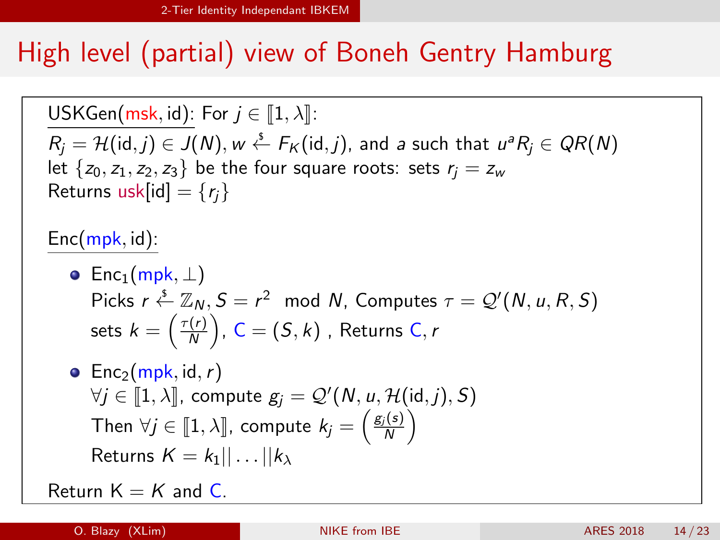# High level (partial) view of Boneh Gentry Hamburg

USKGen(msk, id): For  $j \in [1, \lambda]$ :  $R_j = \mathcal{H}(\mathsf{id},j) \in J(N), w \stackrel{\hspace{0.1em}\mathsf{\scriptscriptstyle\$}}{\leftarrow} F_K(\mathsf{id},j),$  and a such that  $u^aR_j \in QR(N)$ let  $\{z_0, z_1, z_2, z_3\}$  be the four square roots: sets  $r_i = z_w$ Returns usk[id] =  $\{r_i\}$ 

 $Enc(mpk, id)$ :

\n- Enc<sub>1</sub>(mpk, 
$$
\perp
$$
)
\n- Picks  $r \stackrel{\xi}{\leftarrow} \mathbb{Z}_N$ ,  $S = r^2 \mod N$ , Computers  $\tau = \mathcal{Q}'(N, u, R, S)$  sets  $k = \left(\frac{\tau(r)}{N}\right)$ ,  $C = (S, k)$ , Returns  $C, r$
\n

• Enc<sub>2</sub>(mpk, id, r)  $\forall j \in [\![1,\lambda]\!]$ , compute  $g_j = \mathcal{Q}'(N, u, \mathcal{H}(\mathsf{id}, j), S)$ Then  $\forall j \in [\![1, \lambda]\!]$ , compute  $k_j = \left(\frac{g_j(s)}{N}\right)$ Returns  $K = k_1 || \dots || k_1$ 

Return  $K = K$  and  $C$ .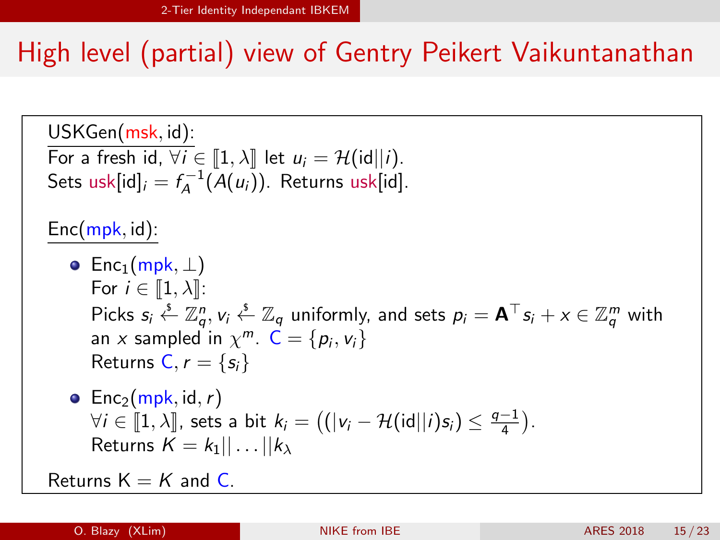# High level (partial) view of Gentry Peikert Vaikuntanathan

\n- \n
$$
\begin{array}{ll}\n USKGen(msk, id): \\
\hline\n \text{For a fresh id, } \forall i \in [1, \lambda] \text{ let } u_i = \mathcal{H}(\text{id}||i).\n \end{array}
$$
\n
\n- \n $\begin{array}{ll}\n \text{Sets usk}[id]_i = f_A^{-1}(A(u_i)). & \text{Returns usk}[id]. \\
\hline\n \text{Enc}(mpk, id): \\
\hline\n \text{Enc}(\text{mpk}, \bot) & \text{For } i \in [1, \lambda]: \\
\text{Picks } s_i \stackrel{\xi}{\leftarrow} \mathbb{Z}_q^n, v_i \stackrel{\xi}{\leftarrow} \mathbb{Z}_q \text{ uniformly, and sets } p_i = \mathbf{A}^\top s_i + x \in \mathbb{Z}_q^m \text{ with } \\
& \text{an } x \text{ sampled in } \chi^m. \mathbb{C} = \{p_i, v_i\} & \text{Returns } C, r = \{s_i\} & \text{ returns } C, r = \{s_i\} & \text{otherwise} & \text{otherwise} & \text{otherwise} & \text{otherwise} & \text{otherwise} & \text{otherwise} & \text{otherwise} & \text{otherwise} & \text{otherwise} & \text{otherwise} & \text{otherwise} & \text{otherwise} & \text{otherwise} & \text{otherwise} & \text{otherwise} & \text{otherwise} & \text{otherwise} & \text{otherwise} & \text{otherwise} & \text{otherwise} & \text{otherwise} & \text{otherwise} & \text{otherwise} & \text{otherwise} & \text{otherwise} & \text{otherwise} & \text{otherwise} & \text{otherwise} & \text{otherwise} & \text{otherwise} & \text{otherwise} & \text{otherwise} & \text{otherwise} & \text{otherwise} & \text{otherwise} & \text{otherwise} & \text{otherwise} & \text{otherwise} & \text{otherwise} & \text{otherwise} & \text{otherwise} & \text{otherwise} & \text{otherwise} & \text{otherwise} & \text{otherwise} & \text{otherwise} & \text{otherwise} & \text{otherwise} & \text{otherwise} & \text{otherwise} & \text{otherwise} & \text{otherwise} &$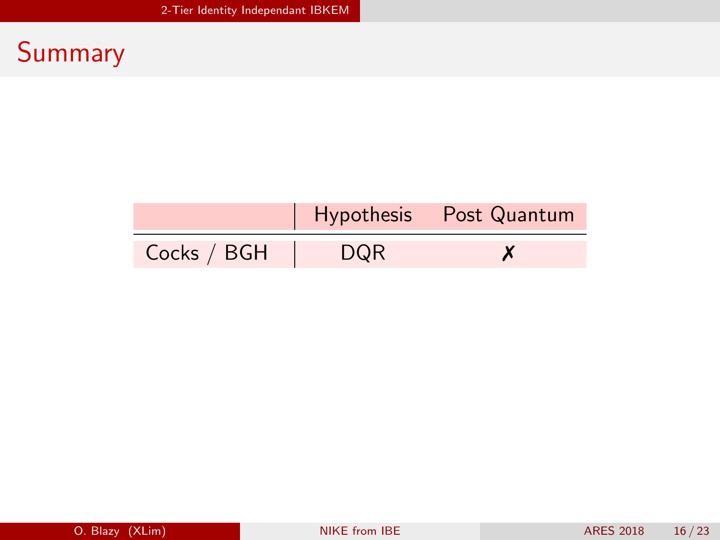|             |            | Hypothesis Post Quantum |
|-------------|------------|-------------------------|
| Cocks / BGH | <b>DQR</b> |                         |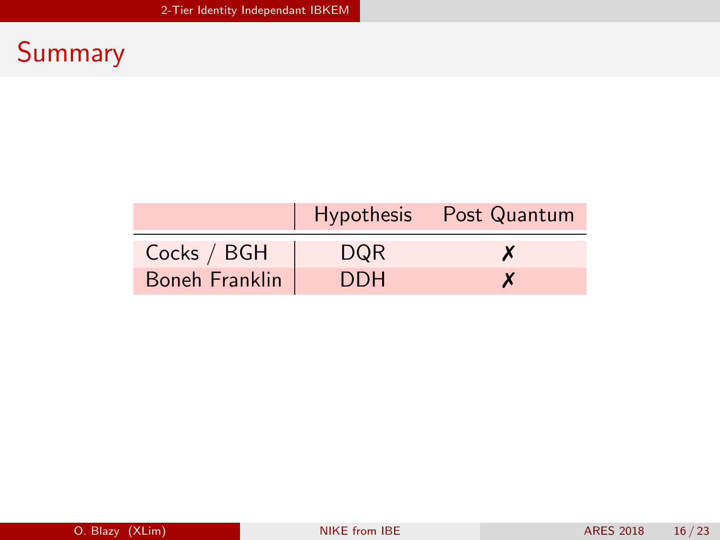|                       |      | Hypothesis Post Quantum |
|-----------------------|------|-------------------------|
| Cocks / BGH           | DQR. | $\boldsymbol{x}$        |
| <b>Boneh Franklin</b> | DDH. |                         |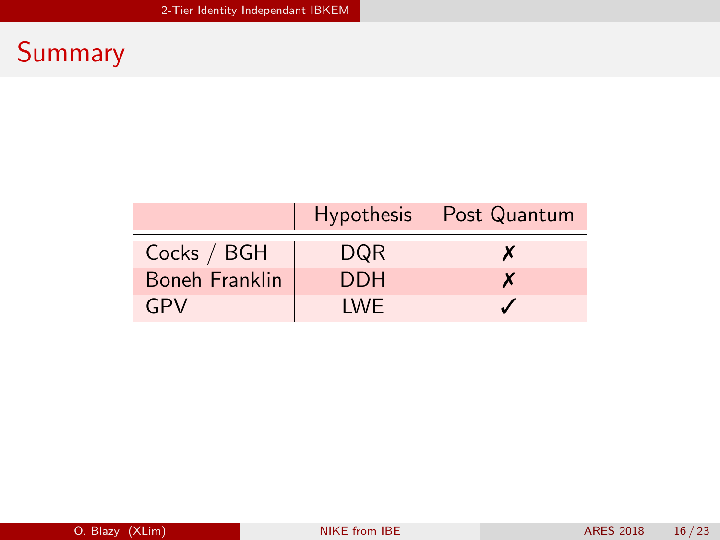|                |            | Hypothesis Post Quantum |
|----------------|------------|-------------------------|
| Cocks / BGH    | <b>DQR</b> | X                       |
| Boneh Franklin | <b>DDH</b> | X                       |
| GPV            | I WF       |                         |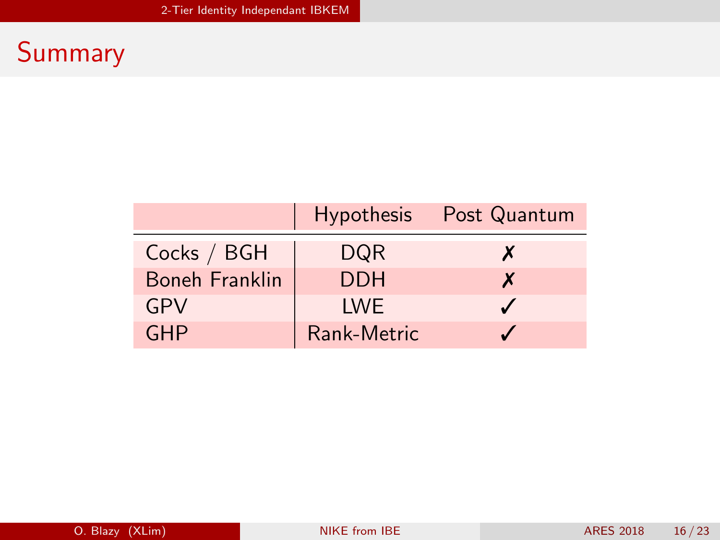|                       |             | Hypothesis Post Quantum  |
|-----------------------|-------------|--------------------------|
| Cocks / BGH           | DQR         | X                        |
| <b>Boneh Franklin</b> | <b>DDH</b>  | X                        |
| GPV                   | <b>IWE</b>  | $\overline{\mathcal{L}}$ |
| <b>GHP</b>            | Rank-Metric |                          |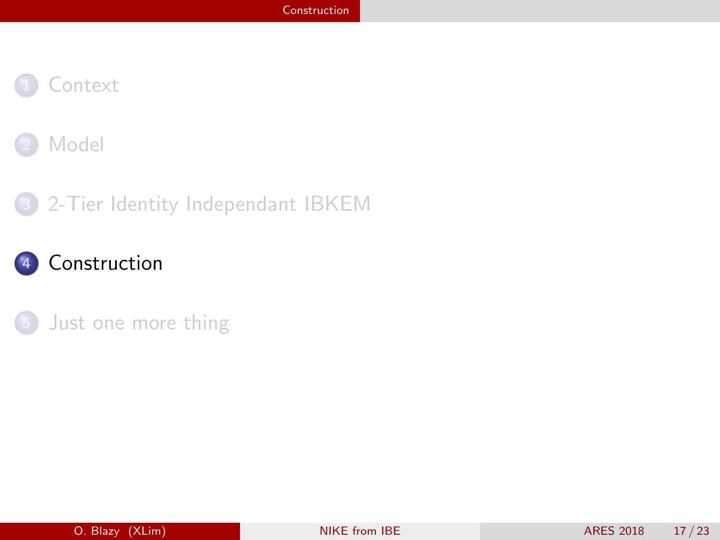<span id="page-27-0"></span>



#### [2-Tier Identity Independant IBKEM](#page-15-0)

## [Construction](#page-27-0)

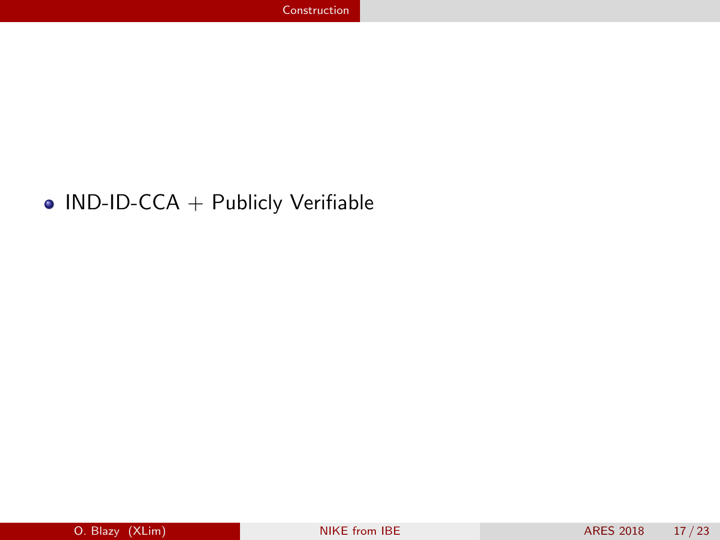### $\bullet$  IND-ID-CCA + Publicly Verifiable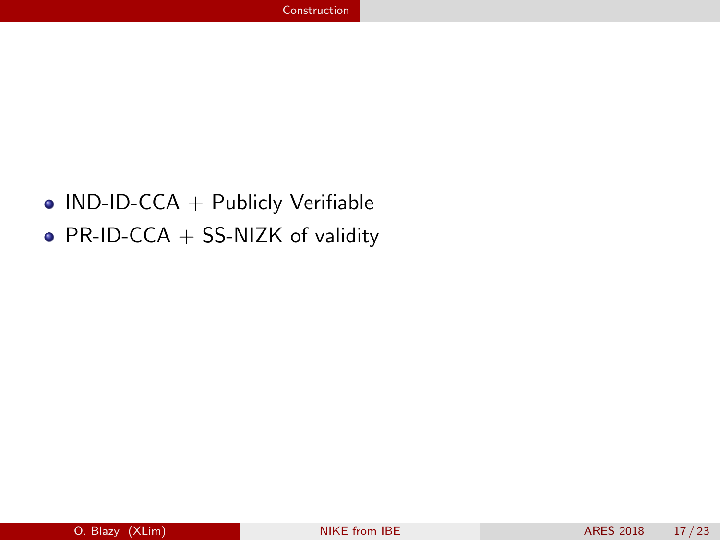## $\bullet$  IND-ID-CCA + Publicly Verifiable

• PR-ID-CCA  $+$  SS-NIZK of validity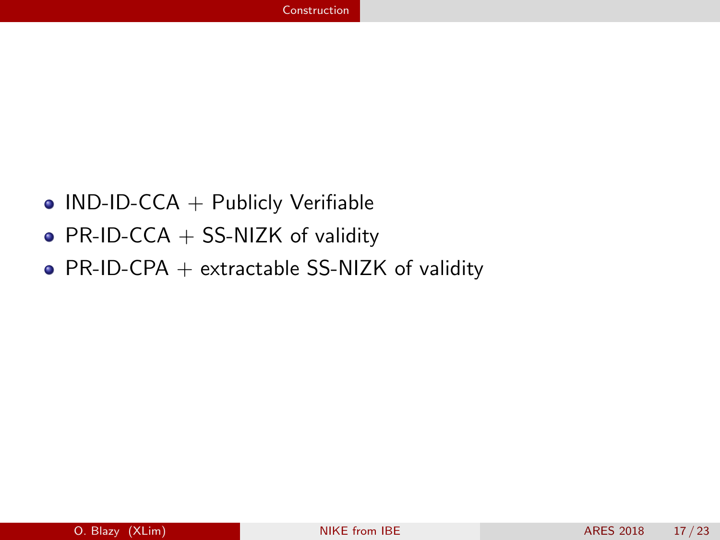- $\bullet$  IND-ID-CCA + Publicly Verifiable
- PR-ID-CCA  $+$  SS-NIZK of validity
- PR-ID-CPA  $+$  extractable SS-NIZK of validity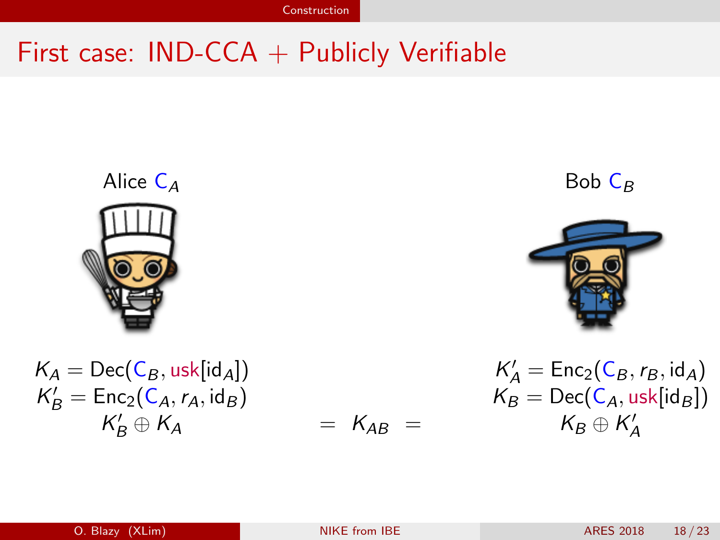# First case:  $IND-CCA + Publicly Verifiable$

Alice C<sup>A</sup> Bob C<sup>B</sup> K<sup>A</sup> = Dec(C<sup>B</sup> , usk[idA]) K 0 <sup>A</sup> = Enc2(C<sup>B</sup> ,r<sup>B</sup> , idA) K 0 <sup>B</sup> = Enc2(CA,rA, id<sup>B</sup> ) K<sup>B</sup> = Dec(CA, usk[id<sup>B</sup> ]) K 0 <sup>B</sup> ⊕ K<sup>A</sup> = KAB = K<sup>B</sup> ⊕ K 0 A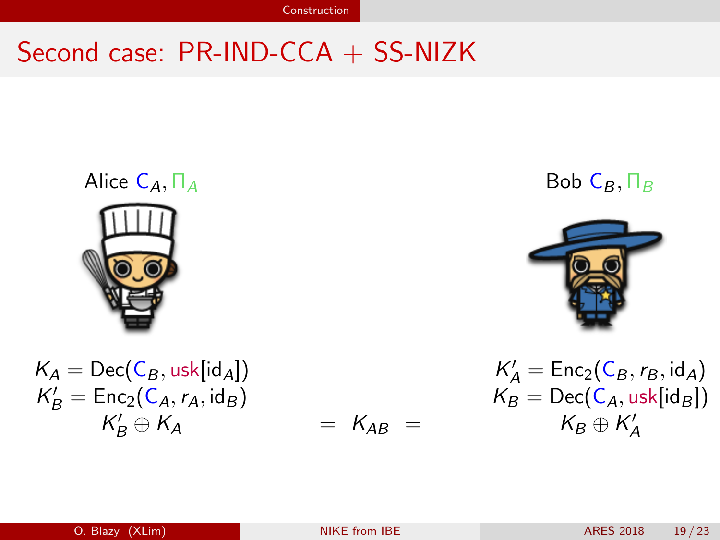# Second case: PR-IND-CCA + SS-NIZK

Alice 
$$
C_A
$$
,  $||_A$   
\n  
\n  
\n $K_A = \text{Dec}(C_B, \text{usk}[id_A])$   
\n $K'_B = \text{Enc}_2(C_A, r_A, id_B)$ 

$$
= K_{AB} =
$$

Bob  $\mathsf{C}_B, \Pi_B$ 



$$
K'_A = \text{Dec}(C_B, \text{usk}[id_A])
$$
\n
$$
K'_B = \text{Enc}_2(C_B, r_B, id_A)
$$
\n
$$
K'_B = \text{Enc}_2(C_A, \text{task}[id_B])
$$
\n
$$
K'_B \oplus K_A
$$
\n
$$
K'_B \oplus K'_A
$$
\n
$$
K'_B \oplus K'_A
$$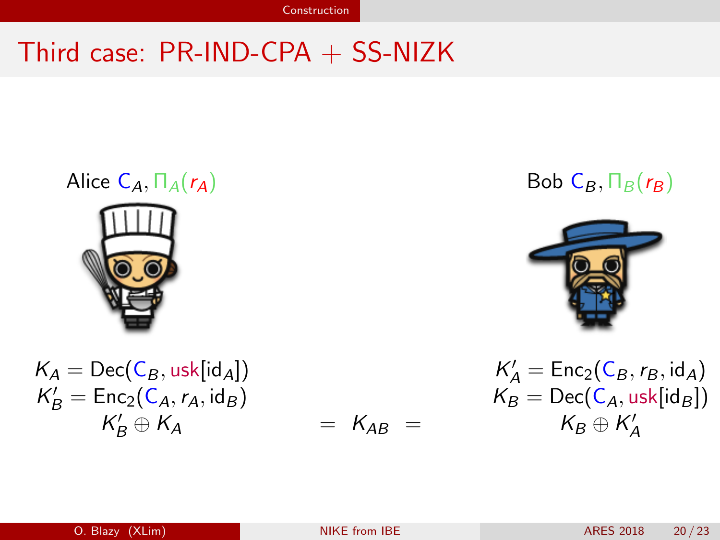# Third case: PR-IND-CPA + SS-NIZK

Alice 
$$
C_A
$$
,  $\Pi_A$ ( $r_A$ )  
\n  
\n  
\n $K_A = \text{Dec}(C_B, \text{usk}[\text{id}_A])$ 

$$
K_A = \text{Dec}(C_B, \text{usk}[G_A])
$$
  
\n
$$
K'_B = \text{Enc}_2(C_A, r_A, \text{id}_B)
$$
  
\n
$$
K'_B \oplus K_A = K_{AB} =
$$
  
\n
$$
K_B = \text{Dec}(C_A, r_A, \text{id}_B)
$$
  
\n
$$
K_B = \text{Dec}(C_A, r_A, \text{id}_B)
$$

$$
= K_{AB} =
$$

## Bob  $\mathsf{C}_B$ ,  $\Pi_B(r_B)$



$$
K'_A = \text{Dec}(C_B, \text{usk}[id_A])
$$
\n
$$
K'_B = \text{Enc}_2(C_A, r_A, id_B)
$$
\n
$$
K'_B \oplus K_A
$$
\n
$$
K'_B \oplus K_A
$$
\n
$$
K'_B \oplus K'_A
$$
\n
$$
K'_B \oplus K'_A
$$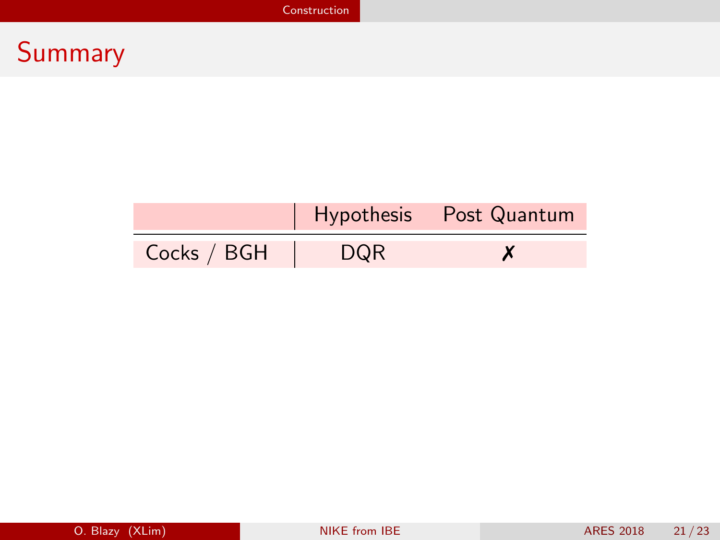|             |            | Hypothesis Post Quantum |
|-------------|------------|-------------------------|
| Cocks / BGH | <b>DQR</b> |                         |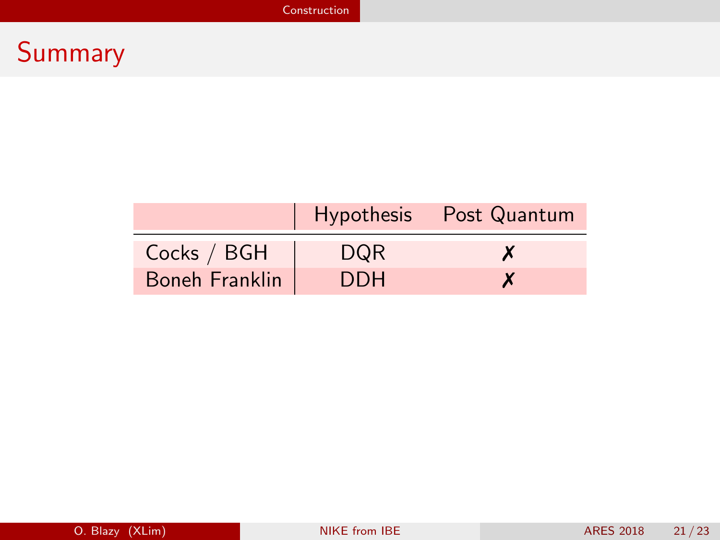|                |            | Hypothesis Post Quantum |
|----------------|------------|-------------------------|
| Cocks / BGH    | DQR        | X                       |
| Boneh Franklin | <b>DDH</b> | X                       |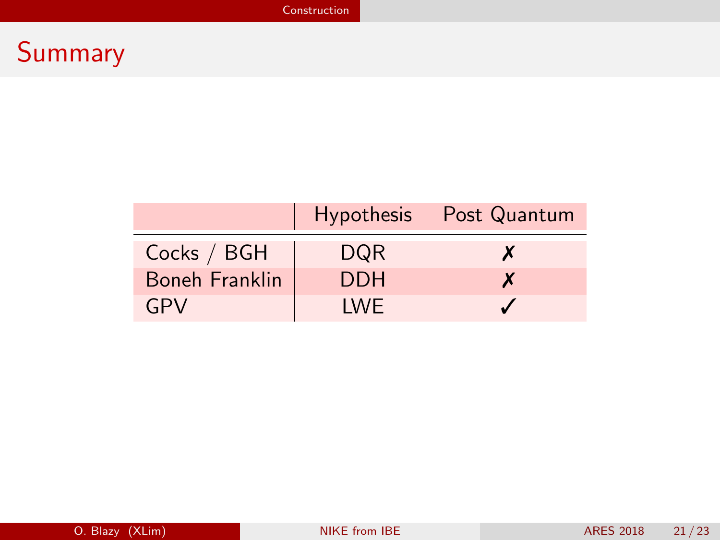|                |            | Hypothesis Post Quantum |
|----------------|------------|-------------------------|
| Cocks / BGH    | <b>DQR</b> | X                       |
| Boneh Franklin | <b>DDH</b> | X                       |
| GPV            | I WF       |                         |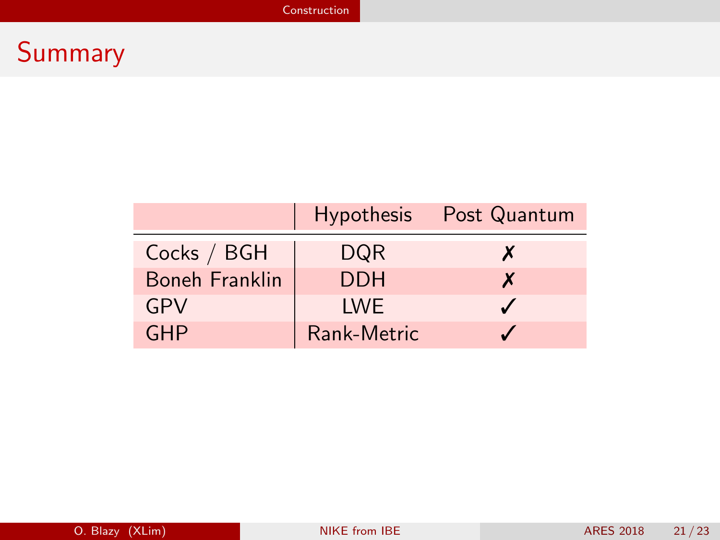|                       |             | Hypothesis Post Quantum  |
|-----------------------|-------------|--------------------------|
| Cocks / BGH           | DQR         | X                        |
| <b>Boneh Franklin</b> | <b>DDH</b>  | X                        |
| GPV                   | <b>IWE</b>  | $\overline{\mathcal{L}}$ |
| <b>GHP</b>            | Rank-Metric |                          |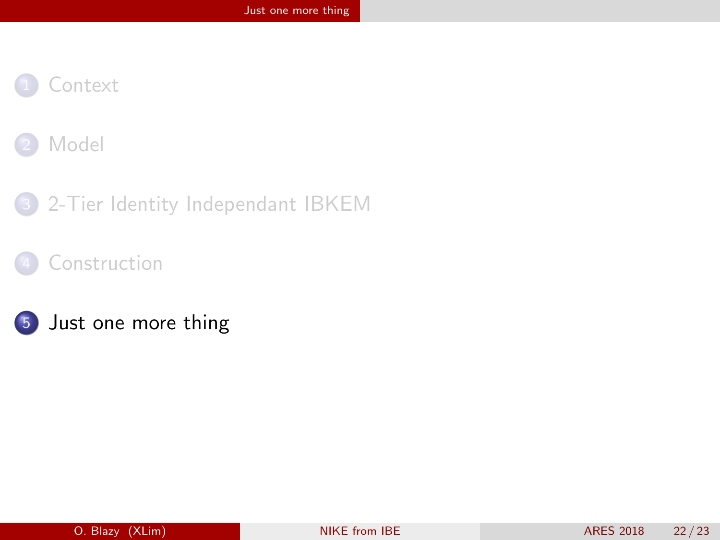<span id="page-38-0"></span>



- 3 [2-Tier Identity Independant IBKEM](#page-15-0)
- [Construction](#page-27-0)



5 [Just one more thing](#page-38-0)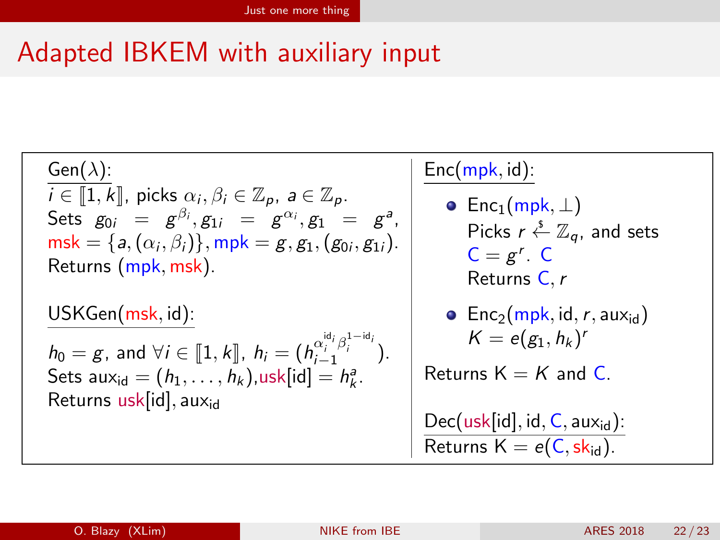# Adapted IBKEM with auxiliary input

| Gen( $\lambda$ ):                                                                      |                                                                    |
|----------------------------------------------------------------------------------------|--------------------------------------------------------------------|
| $i \in [1, k]$ , picks $\alpha_i, \beta_i \in \mathbb{Z}_p$ , $a \in \mathbb{Z}_p$ .   | $Enc(mpk, id):$                                                    |
| Sets $g_{0i} = g^{\beta_i}, g_{1i} = g^{\alpha_i}, g_1 = g^{\alpha_i}$                 | $Enc_1(mpk, \perp)$                                                |
| Sets $g_{0i} = g^{i\beta_i}, g_{1i} = g^{\alpha_i}, g_1 = g^{\alpha_i}$                | $Pic_1(mpk, \perp)$                                                |
| msk = {a, $(\alpha_i, \beta_i)$ }, mpk = g, g_{1}, (g_{0i}, g_{1i}).                   | $Picks \ r \stackrel{\& \mathbb{Z}}{\& \mathbb{Z}_q}$ , and sets   |
| Returns $(mpk, msk)$ .                                                                 | $Dec = g^r$ . C                                                    |
| Esturus $(msk, id):$                                                                   | $Rec_2(mpk, id, r, aux_{id})$                                      |
| $h_0 = g$ , and $\forall i \in [1, k]$ , $h_i = (h_{i-1}^{a_i^i, \beta_i^{1-id_i}})$ . | $Keturns \ K = e(g_1, h_k)^r$                                      |
| Sets aux <sub>id</sub> = $(h_1, \ldots, h_k)$ ,usk[id] = $h_k^a$ .                     | $Dec(usk[id], id, C, aux_{id})$ :<br>Returns $K = e(C, sk_{id})$ . |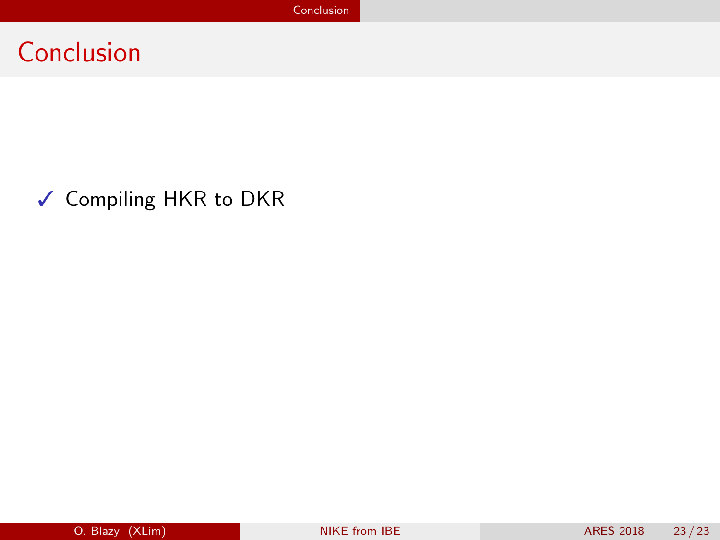### <span id="page-40-0"></span>✓ Compiling HKR to DKR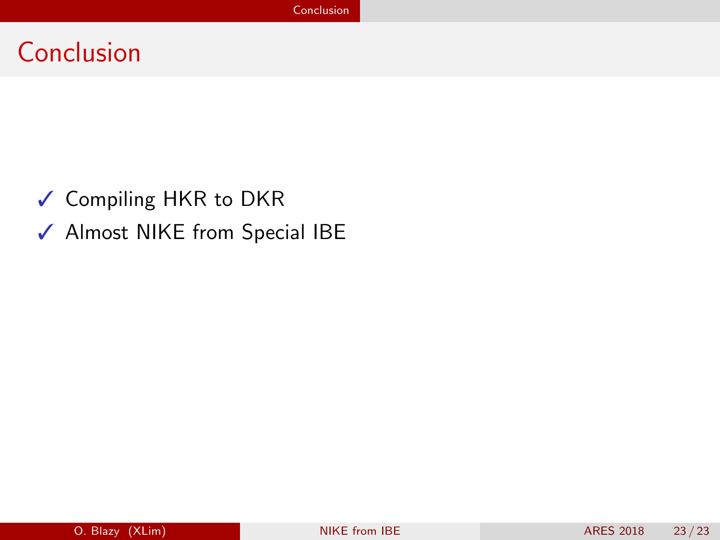- ✓ Compiling HKR to DKR
- ✓ Almost NIKE from Special IBE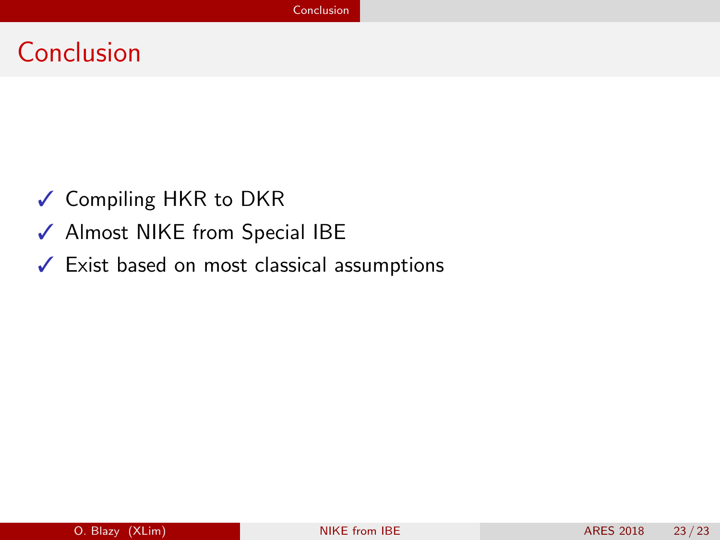- ✓ Compiling HKR to DKR
- ✓ Almost NIKE from Special IBE
- ✓ Exist based on most classical assumptions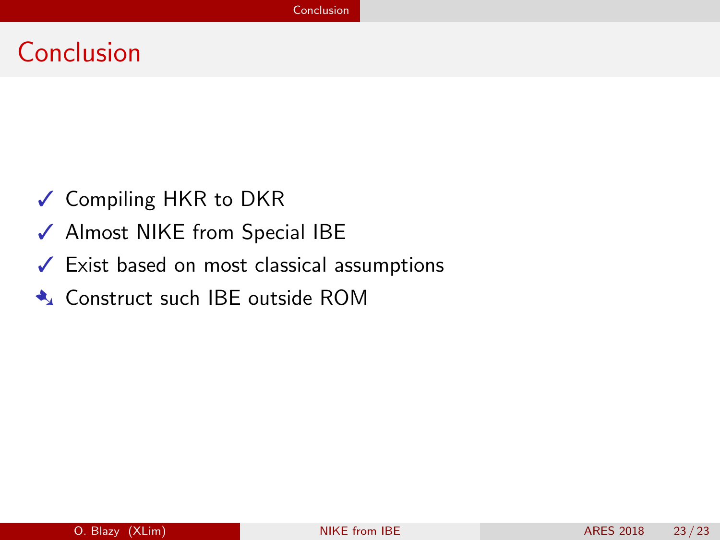- ✓ Compiling HKR to DKR
- ✓ Almost NIKE from Special IBE
- ✓ Exist based on most classical assumptions
- ➷ Construct such IBE outside ROM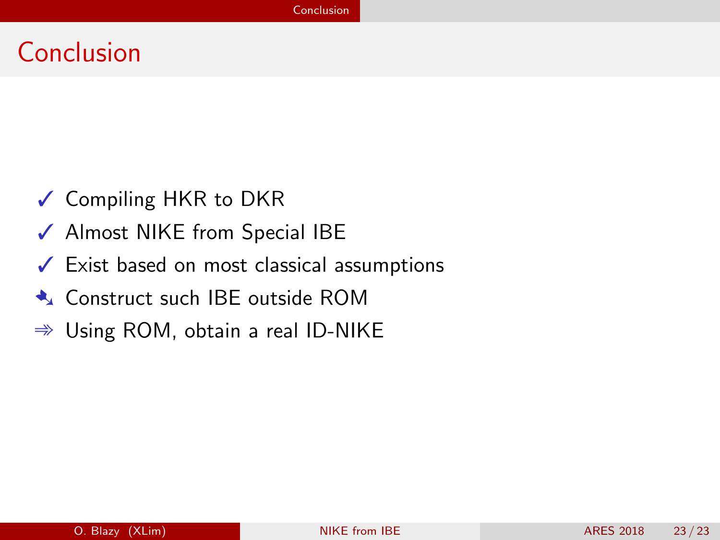- ✓ Compiling HKR to DKR
- ✓ Almost NIKE from Special IBE
- ✓ Exist based on most classical assumptions
- ➷ Construct such IBE outside ROM
- $\Rightarrow$  Using ROM, obtain a real ID-NIKE